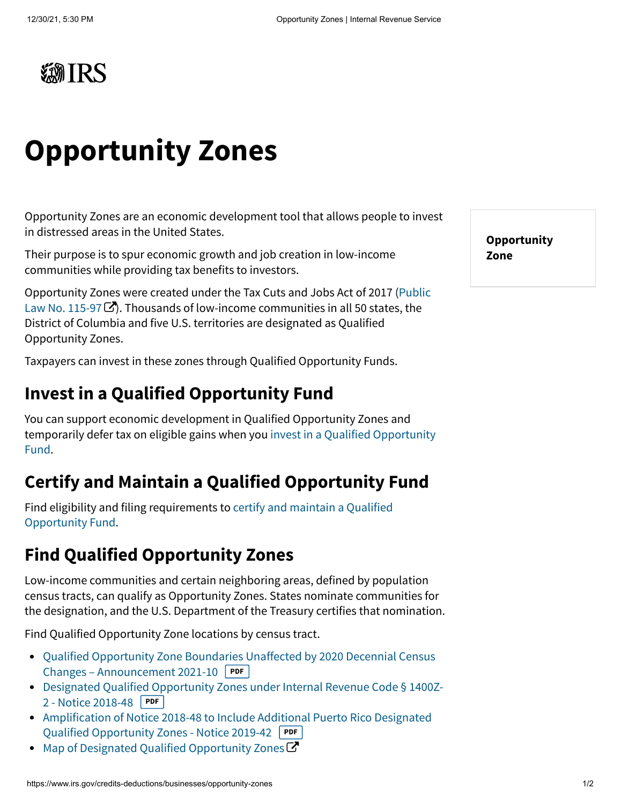

# **Opportunity Zones**

Opportunity Zones are an economic development tool that allows people to invest in distressed areas in the United States.

Their purpose is to spur economic growth and job creation in low-income communities while providing tax benefits to investors.

[Opportunity Zones were created under the Tax Cuts and Jobs Act of 2017 \(](https://www.congress.gov/bill/115th-congress/house-bill/1/text) Public Law No. 115-97 $\mathbb{Z}$ . Thousands of low-income communities in all 50 states, the District of Columbia and five U.S. territories are designated as Qualified Opportunity Zones.

Taxpayers can invest in these zones through Qualified Opportunity Funds.

### **Invest in a Qualified Opportunity Fund**

You can support economic development in Qualified Opportunity Zones and [temporarily defer tax on eligible gains when you invest in a Qualified Opportunity](https://www.irs.gov/credits-deductions/businesses/invest-in-a-qualified-opportunity-fund) Fund.

# **Certify and Maintain a Qualified Opportunity Fund**

[Find eligibility and filing requirements to certify and maintain a Qualified](https://www.irs.gov/credits-deductions/businesses/certify-and-maintain-a-qualified-opportunity-fund) Opportunity Fund.

# **Find Qualified Opportunity Zones**

Low-income communities and certain neighboring areas, defined by population census tracts, can qualify as Opportunity Zones. States nominate communities for the designation, and the U.S. Department of the Treasury certifies that nomination.

Find Qualified Opportunity Zone locations by census tract.

- [Qualified Opportunity Zone Boundaries Unaffected by 2020 Decennial Census](https://www.irs.gov/pub/irs-drop/a-21-10.pdf) Changes – Announcement 2021-10 **PDF**
- [Designated Qualified Opportunity Zones under Internal Revenue Code § 1400Z-](https://www.irs.gov/pub/irs-drop/n-18-48.pdf)2 - Notice 2018-48 **PDF**
- [Amplification of Notice 2018-48 to Include Additional Puerto Rico Designated](https://www.irs.gov/pub/irs-drop/n-19-42.pdf) Qualified Opportunity Zones - Notice 2019-42 **PDF**
- [Map of Designated Qualified Opportunity Zones](https://opportunityzones.hud.gov/resources/map)  $\mathbf C$  $\bullet$

**Opportunity Zone**